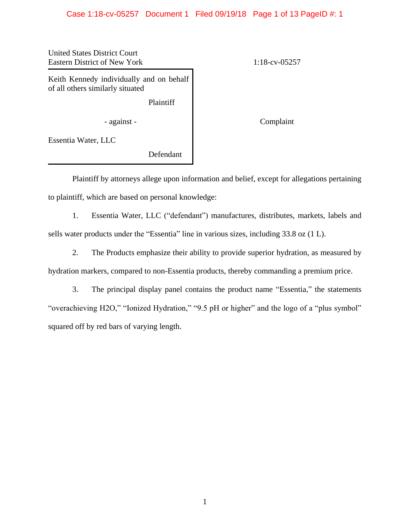### Case 1:18-cv-05257 Document 1 Filed 09/19/18 Page 1 of 13 PageID #: 1

United States District Court Eastern District of New York 1:18-cv-05257

Keith Kennedy individually and on behalf of all others similarly situated

Plaintiff

- against - Complaint

Essentia Water, LLC

Defendant

Plaintiff by attorneys allege upon information and belief, except for allegations pertaining to plaintiff, which are based on personal knowledge:

1. Essentia Water, LLC ("defendant") manufactures, distributes, markets, labels and sells water products under the "Essentia" line in various sizes, including 33.8 oz (1 L).

2. The Products emphasize their ability to provide superior hydration, as measured by hydration markers, compared to non-Essentia products, thereby commanding a premium price.

3. The principal display panel contains the product name "Essentia," the statements "overachieving H2O," "Ionized Hydration," "9.5 pH or higher" and the logo of a "plus symbol" squared off by red bars of varying length.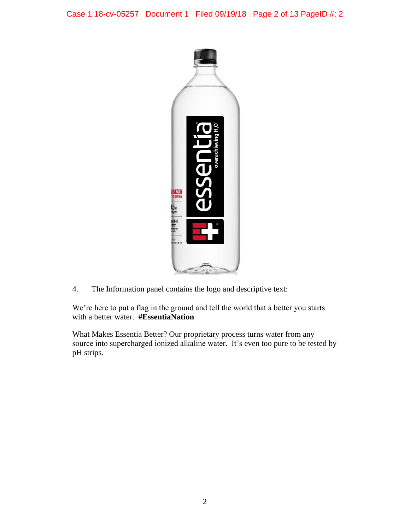

4. The Information panel contains the logo and descriptive text:

We're here to put a flag in the ground and tell the world that a better you starts with a better water. **#EssentiaNation**

What Makes Essentia Better? Our proprietary process turns water from any source into supercharged ionized alkaline water. It's even too pure to be tested by pH strips.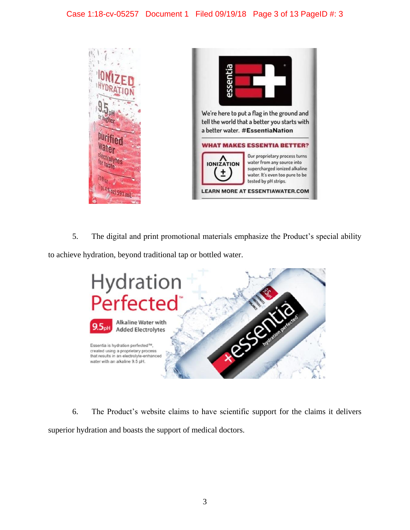

5. The digital and print promotional materials emphasize the Product's special ability to achieve hydration, beyond traditional tap or bottled water.



6. The Product's website claims to have scientific support for the claims it delivers superior hydration and boasts the support of medical doctors.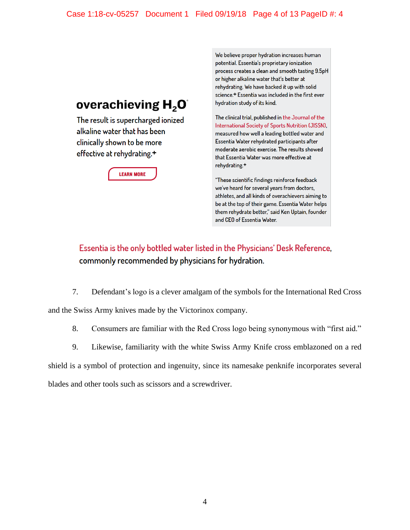# Case 1:18-cv-05257 Document 1 Filed 09/19/18 Page 4 of 13 PageID #: 4

# overachieving  $H_2O^2$

The result is supercharged ionized alkaline water that has been clinically shown to be more effective at rehydrating.+

# **LEARN MORE**

We believe proper hydration increases human potential. Essentia's proprietary ionization process creates a clean and smooth tasting 9.5pH or higher alkaline water that's better at rehydrating. We have backed it up with solid science.<sup>+</sup> Essentia was included in the first ever hydration study of its kind.

The clinical trial, published in the Journal of the International Society of Sports Nutrition (JISSN), measured how well a leading bottled water and Essentia Water rehydrated participants after moderate aerobic exercise. The results showed that Essentia Water was more effective at rehydrating.<sup>+</sup>

"These scientific findings reinforce feedback we've heard for several years from doctors, athletes, and all kinds of overachievers aiming to be at the top of their game. Essentia Water helps them rehydrate better," said Ken Uptain, founder and CEO of Essentia Water.

# Essentia is the only bottled water listed in the Physicians' Desk Reference, commonly recommended by physicians for hydration.

- 7. Defendant's logo is a clever amalgam of the symbols for the International Red Cross and the Swiss Army knives made by the Victorinox company.
	- 8. Consumers are familiar with the Red Cross logo being synonymous with "first aid."
	- 9. Likewise, familiarity with the white Swiss Army Knife cross emblazoned on a red

shield is a symbol of protection and ingenuity, since its namesake penknife incorporates several

blades and other tools such as scissors and a screwdriver.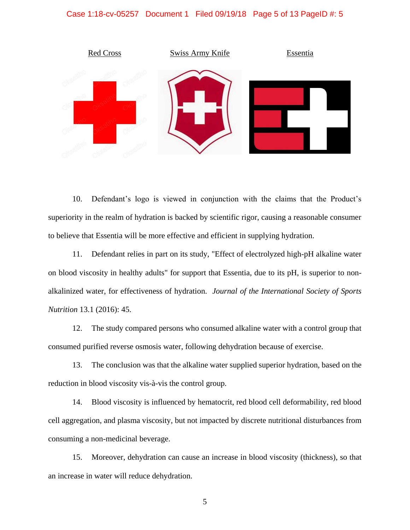#### Case 1:18-cv-05257 Document 1 Filed 09/19/18 Page 5 of 13 PageID #: 5



10. Defendant's logo is viewed in conjunction with the claims that the Product's superiority in the realm of hydration is backed by scientific rigor, causing a reasonable consumer to believe that Essentia will be more effective and efficient in supplying hydration.

11. Defendant relies in part on its study, "Effect of electrolyzed high-pH alkaline water on blood viscosity in healthy adults" for support that Essentia, due to its pH, is superior to nonalkalinized water, for effectiveness of hydration. *Journal of the International Society of Sports Nutrition* 13.1 (2016): 45.

12. The study compared persons who consumed alkaline water with a control group that consumed purified reverse osmosis water, following dehydration because of exercise.

13. The conclusion was that the alkaline water supplied superior hydration, based on the reduction in blood viscosity vis-à-vis the control group.

14. Blood viscosity is influenced by hematocrit, red blood cell deformability, red blood cell aggregation, and plasma viscosity, but not impacted by discrete nutritional disturbances from consuming a non-medicinal beverage.

15. Moreover, dehydration can cause an increase in blood viscosity (thickness), so that an increase in water will reduce dehydration.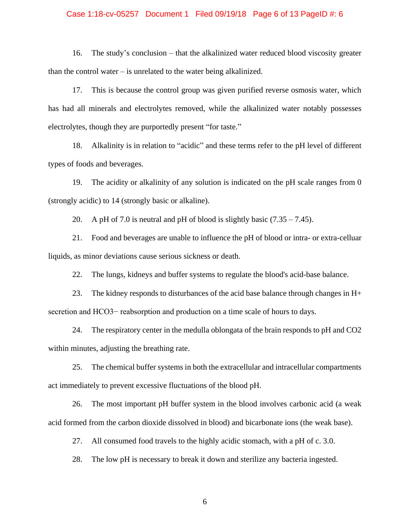#### Case 1:18-cv-05257 Document 1 Filed 09/19/18 Page 6 of 13 PageID #: 6

16. The study's conclusion – that the alkalinized water reduced blood viscosity greater than the control water – is unrelated to the water being alkalinized.

17. This is because the control group was given purified reverse osmosis water, which has had all minerals and electrolytes removed, while the alkalinized water notably possesses electrolytes, though they are purportedly present "for taste."

18. Alkalinity is in relation to "acidic" and these terms refer to the pH level of different types of foods and beverages.

19. The acidity or alkalinity of any solution is indicated on the pH scale ranges from 0 (strongly acidic) to 14 (strongly basic or alkaline).

20. A pH of 7.0 is neutral and pH of blood is slightly basic  $(7.35 - 7.45)$ .

21. Food and beverages are unable to influence the pH of blood or intra- or extra-celluar liquids, as minor deviations cause serious sickness or death.

22. The lungs, kidneys and buffer systems to regulate the blood's acid-base balance.

23. The kidney responds to disturbances of the acid base balance through changes in H+ secretion and HCO3− reabsorption and production on a time scale of hours to days.

24. The respiratory center in the medulla oblongata of the brain responds to pH and CO2 within minutes, adjusting the breathing rate.

25. The chemical buffer systems in both the extracellular and intracellular compartments act immediately to prevent excessive fluctuations of the blood pH.

26. The most important pH buffer system in the blood involves carbonic acid (a weak acid formed from the carbon dioxide dissolved in blood) and bicarbonate ions (the weak base).

27. All consumed food travels to the highly acidic stomach, with a pH of c. 3.0.

28. The low pH is necessary to break it down and sterilize any bacteria ingested.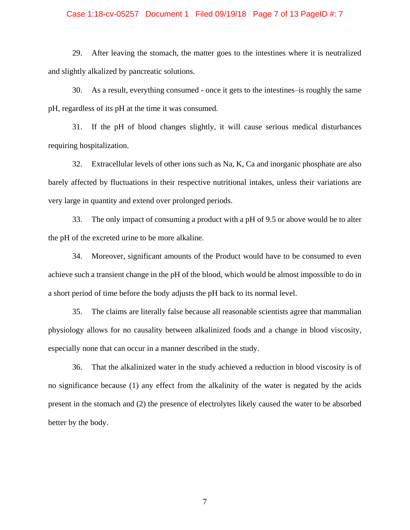#### Case 1:18-cv-05257 Document 1 Filed 09/19/18 Page 7 of 13 PageID #: 7

29. After leaving the stomach, the matter goes to the intestines where it is neutralized and slightly alkalized by pancreatic solutions.

30. As a result, everything consumed - once it gets to the intestines–is roughly the same pH, regardless of its pH at the time it was consumed.

31. If the pH of blood changes slightly, it will cause serious medical disturbances requiring hospitalization.

32. Extracellular levels of other ions such as Na, K, Ca and inorganic phosphate are also barely affected by fluctuations in their respective nutritional intakes, unless their variations are very large in quantity and extend over prolonged periods.

33. The only impact of consuming a product with a pH of 9.5 or above would be to alter the pH of the excreted urine to be more alkaline.

34. Moreover, significant amounts of the Product would have to be consumed to even achieve such a transient change in the pH of the blood, which would be almost impossible to do in a short period of time before the body adjusts the pH back to its normal level.

35. The claims are literally false because all reasonable scientists agree that mammalian physiology allows for no causality between alkalinized foods and a change in blood viscosity, especially none that can occur in a manner described in the study.

36. That the alkalinized water in the study achieved a reduction in blood viscosity is of no significance because (1) any effect from the alkalinity of the water is negated by the acids present in the stomach and (2) the presence of electrolytes likely caused the water to be absorbed better by the body.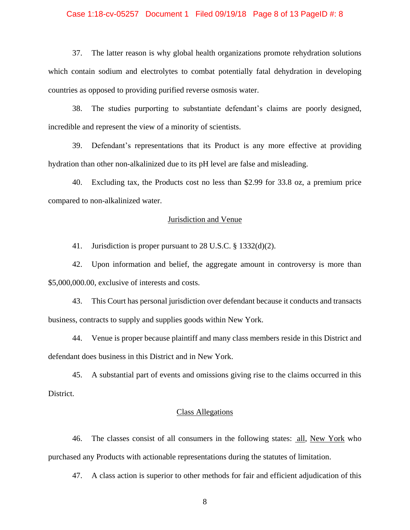#### Case 1:18-cv-05257 Document 1 Filed 09/19/18 Page 8 of 13 PageID #: 8

37. The latter reason is why global health organizations promote rehydration solutions which contain sodium and electrolytes to combat potentially fatal dehydration in developing countries as opposed to providing purified reverse osmosis water.

38. The studies purporting to substantiate defendant's claims are poorly designed, incredible and represent the view of a minority of scientists.

39. Defendant's representations that its Product is any more effective at providing hydration than other non-alkalinized due to its pH level are false and misleading.

40. Excluding tax, the Products cost no less than \$2.99 for 33.8 oz, a premium price compared to non-alkalinized water.

#### Jurisdiction and Venue

41. Jurisdiction is proper pursuant to 28 U.S.C. § 1332(d)(2).

42. Upon information and belief, the aggregate amount in controversy is more than \$5,000,000.00, exclusive of interests and costs.

43. This Court has personal jurisdiction over defendant because it conducts and transacts business, contracts to supply and supplies goods within New York.

44. Venue is proper because plaintiff and many class members reside in this District and defendant does business in this District and in New York.

45. A substantial part of events and omissions giving rise to the claims occurred in this District.

# Class Allegations

46. The classes consist of all consumers in the following states: all, New York who purchased any Products with actionable representations during the statutes of limitation.

47. A class action is superior to other methods for fair and efficient adjudication of this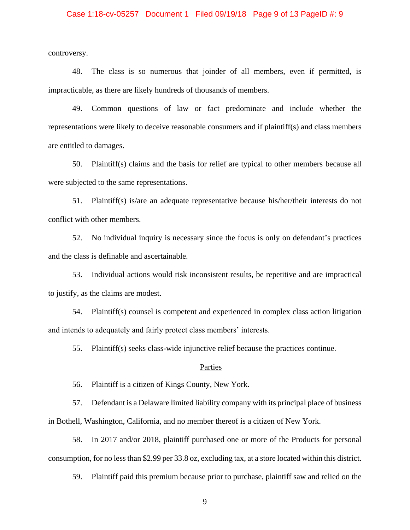#### Case 1:18-cv-05257 Document 1 Filed 09/19/18 Page 9 of 13 PageID #: 9

controversy.

48. The class is so numerous that joinder of all members, even if permitted, is impracticable, as there are likely hundreds of thousands of members.

49. Common questions of law or fact predominate and include whether the representations were likely to deceive reasonable consumers and if plaintiff(s) and class members are entitled to damages.

50. Plaintiff(s) claims and the basis for relief are typical to other members because all were subjected to the same representations.

51. Plaintiff(s) is/are an adequate representative because his/her/their interests do not conflict with other members.

52. No individual inquiry is necessary since the focus is only on defendant's practices and the class is definable and ascertainable.

53. Individual actions would risk inconsistent results, be repetitive and are impractical to justify, as the claims are modest.

54. Plaintiff(s) counsel is competent and experienced in complex class action litigation and intends to adequately and fairly protect class members' interests.

55. Plaintiff(s) seeks class-wide injunctive relief because the practices continue.

#### Parties

56. Plaintiff is a citizen of Kings County, New York.

57. Defendant is a Delaware limited liability company with its principal place of business in Bothell, Washington, California, and no member thereof is a citizen of New York.

58. In 2017 and/or 2018, plaintiff purchased one or more of the Products for personal consumption, for no less than \$2.99 per 33.8 oz, excluding tax, at a store located within this district.

59. Plaintiff paid this premium because prior to purchase, plaintiff saw and relied on the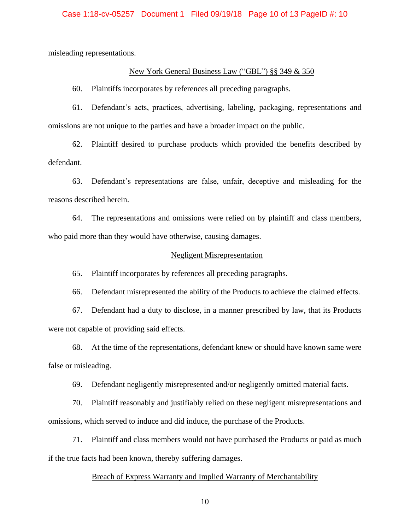misleading representations.

### New York General Business Law ("GBL") §§ 349 & 350

60. Plaintiffs incorporates by references all preceding paragraphs.

61. Defendant's acts, practices, advertising, labeling, packaging, representations and omissions are not unique to the parties and have a broader impact on the public.

62. Plaintiff desired to purchase products which provided the benefits described by defendant.

63. Defendant's representations are false, unfair, deceptive and misleading for the reasons described herein.

64. The representations and omissions were relied on by plaintiff and class members, who paid more than they would have otherwise, causing damages.

#### Negligent Misrepresentation

65. Plaintiff incorporates by references all preceding paragraphs.

66. Defendant misrepresented the ability of the Products to achieve the claimed effects.

67. Defendant had a duty to disclose, in a manner prescribed by law, that its Products were not capable of providing said effects.

68. At the time of the representations, defendant knew or should have known same were false or misleading.

69. Defendant negligently misrepresented and/or negligently omitted material facts.

70. Plaintiff reasonably and justifiably relied on these negligent misrepresentations and omissions, which served to induce and did induce, the purchase of the Products.

71. Plaintiff and class members would not have purchased the Products or paid as much if the true facts had been known, thereby suffering damages.

#### Breach of Express Warranty and Implied Warranty of Merchantability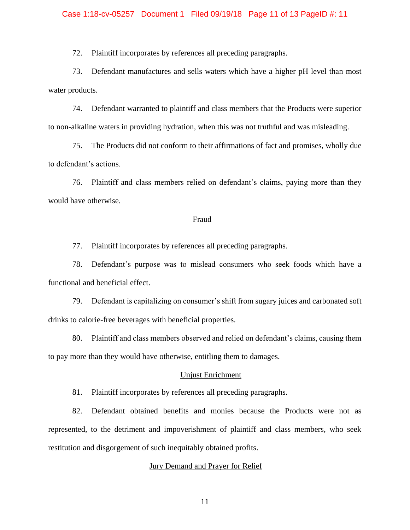#### Case 1:18-cv-05257 Document 1 Filed 09/19/18 Page 11 of 13 PageID #: 11

72. Plaintiff incorporates by references all preceding paragraphs.

73. Defendant manufactures and sells waters which have a higher pH level than most water products.

74. Defendant warranted to plaintiff and class members that the Products were superior to non-alkaline waters in providing hydration, when this was not truthful and was misleading.

75. The Products did not conform to their affirmations of fact and promises, wholly due to defendant's actions.

76. Plaintiff and class members relied on defendant's claims, paying more than they would have otherwise.

#### Fraud

77. Plaintiff incorporates by references all preceding paragraphs.

78. Defendant's purpose was to mislead consumers who seek foods which have a functional and beneficial effect.

79. Defendant is capitalizing on consumer's shift from sugary juices and carbonated soft drinks to calorie-free beverages with beneficial properties.

80. Plaintiff and class members observed and relied on defendant's claims, causing them to pay more than they would have otherwise, entitling them to damages.

# Unjust Enrichment

81. Plaintiff incorporates by references all preceding paragraphs.

82. Defendant obtained benefits and monies because the Products were not as represented, to the detriment and impoverishment of plaintiff and class members, who seek restitution and disgorgement of such inequitably obtained profits.

#### Jury Demand and Prayer for Relief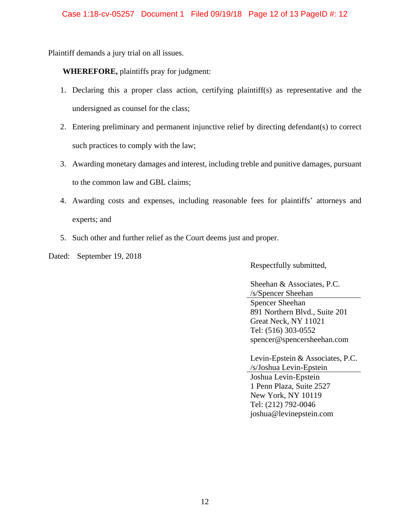Plaintiff demands a jury trial on all issues.

**WHEREFORE,** plaintiffs pray for judgment:

- 1. Declaring this a proper class action, certifying plaintiff(s) as representative and the undersigned as counsel for the class;
- 2. Entering preliminary and permanent injunctive relief by directing defendant(s) to correct such practices to comply with the law;
- 3. Awarding monetary damages and interest, including treble and punitive damages, pursuant to the common law and GBL claims;
- 4. Awarding costs and expenses, including reasonable fees for plaintiffs' attorneys and experts; and
- 5. Such other and further relief as the Court deems just and proper.

Dated: September 19, 2018

Respectfully submitted,

Sheehan & Associates, P.C. /s/Spencer Sheehan Spencer Sheehan 891 Northern Blvd., Suite 201 Great Neck, NY 11021 Tel: (516) 303-0552 spencer@spencersheehan.com

Levin-Epstein & Associates, P.C. /s/Joshua Levin-Epstein Joshua Levin-Epstein 1 Penn Plaza, Suite 2527 New York, NY 10119 Tel: (212) 792-0046 joshua@levinepstein.com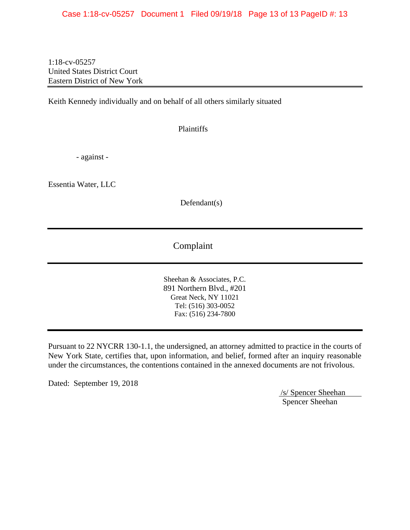1:18-cv-05257 United States District Court Eastern District of New York

Keith Kennedy individually and on behalf of all others similarly situated

Plaintiffs

- against -

Essentia Water, LLC

Defendant(s)

Complaint

Sheehan & Associates, P.C. 891 Northern Blvd., #201 Great Neck, NY 11021 Tel: (516) 303-0052 Fax: (516) 234-7800

Pursuant to 22 NYCRR 130-1.1, the undersigned, an attorney admitted to practice in the courts of New York State, certifies that, upon information, and belief, formed after an inquiry reasonable under the circumstances, the contentions contained in the annexed documents are not frivolous.

Dated: September 19, 2018

/s/ Spencer Sheehan Spencer Sheehan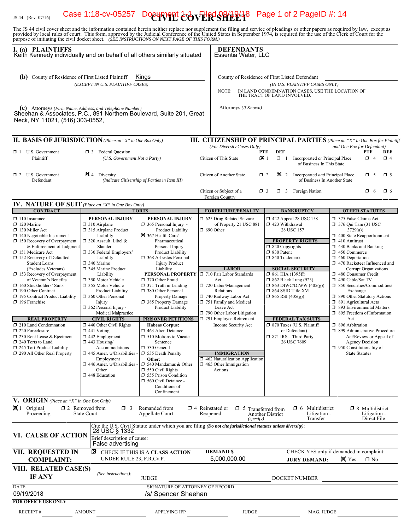# IS 44 (Rev. 07/16) **Case 1:18-cv-05257** Document  $\text{CovERSPER}$   $\text{Cov2}$  Page 1 of 2 PageID #: 14

The JS 44 civil cover sheet and the information contained herein neither replace nor supplement the filing and service of pleadings or other papers as required by law, except as provided by local rules of court. This form,

| I. (a) PLAINTIFFS<br>Keith Kennedy individually and on behalf of all others similarly situated                                                                                                                                                                                                                                                                                                                                                                                                                                                                     |                                                                                                                                                                                                                                                                                                                                                                                                                                                                                                       |                                                                                                                                                                                                                                                                                                                                                                                                                                                                                                                       |                                                                                                                                     | <b>DEFENDANTS</b><br>Essentia Water, LLC                                                                                                                                                                                                                                                     |                                                        |                                                                                                                                                                                                                                                                                                                                                                                                                                                                                                                                                                                                                                                                                                                                                                                                                                                                                                                                                                                                                                                                                         |                                                                                     |
|--------------------------------------------------------------------------------------------------------------------------------------------------------------------------------------------------------------------------------------------------------------------------------------------------------------------------------------------------------------------------------------------------------------------------------------------------------------------------------------------------------------------------------------------------------------------|-------------------------------------------------------------------------------------------------------------------------------------------------------------------------------------------------------------------------------------------------------------------------------------------------------------------------------------------------------------------------------------------------------------------------------------------------------------------------------------------------------|-----------------------------------------------------------------------------------------------------------------------------------------------------------------------------------------------------------------------------------------------------------------------------------------------------------------------------------------------------------------------------------------------------------------------------------------------------------------------------------------------------------------------|-------------------------------------------------------------------------------------------------------------------------------------|----------------------------------------------------------------------------------------------------------------------------------------------------------------------------------------------------------------------------------------------------------------------------------------------|--------------------------------------------------------|-----------------------------------------------------------------------------------------------------------------------------------------------------------------------------------------------------------------------------------------------------------------------------------------------------------------------------------------------------------------------------------------------------------------------------------------------------------------------------------------------------------------------------------------------------------------------------------------------------------------------------------------------------------------------------------------------------------------------------------------------------------------------------------------------------------------------------------------------------------------------------------------------------------------------------------------------------------------------------------------------------------------------------------------------------------------------------------------|-------------------------------------------------------------------------------------|
| (b) County of Residence of First Listed Plaintiff<br>Kings<br>(EXCEPT IN U.S. PLAINTIFF CASES)                                                                                                                                                                                                                                                                                                                                                                                                                                                                     |                                                                                                                                                                                                                                                                                                                                                                                                                                                                                                       |                                                                                                                                                                                                                                                                                                                                                                                                                                                                                                                       |                                                                                                                                     | County of Residence of First Listed Defendant<br>(IN U.S. PLAINTIFF CASES ONLY)<br>IN LAND CONDEMNATION CASES, USE THE LOCATION OF<br>NOTE:<br>THE TRACT OF LAND INVOLVED.                                                                                                                   |                                                        |                                                                                                                                                                                                                                                                                                                                                                                                                                                                                                                                                                                                                                                                                                                                                                                                                                                                                                                                                                                                                                                                                         |                                                                                     |
| (c) Attorneys (Firm Name, Address, and Telephone Number)<br>Sheehan & Associates, P.C., 891 Northern Boulevard, Suite 201, Great<br>Neck, NY 11021, (516) 303-0552,                                                                                                                                                                                                                                                                                                                                                                                                |                                                                                                                                                                                                                                                                                                                                                                                                                                                                                                       |                                                                                                                                                                                                                                                                                                                                                                                                                                                                                                                       |                                                                                                                                     | Attorneys (If Known)                                                                                                                                                                                                                                                                         |                                                        |                                                                                                                                                                                                                                                                                                                                                                                                                                                                                                                                                                                                                                                                                                                                                                                                                                                                                                                                                                                                                                                                                         |                                                                                     |
| <b>II. BASIS OF JURISDICTION</b> (Place an "X" in One Box Only)                                                                                                                                                                                                                                                                                                                                                                                                                                                                                                    |                                                                                                                                                                                                                                                                                                                                                                                                                                                                                                       |                                                                                                                                                                                                                                                                                                                                                                                                                                                                                                                       |                                                                                                                                     |                                                                                                                                                                                                                                                                                              |                                                        |                                                                                                                                                                                                                                                                                                                                                                                                                                                                                                                                                                                                                                                                                                                                                                                                                                                                                                                                                                                                                                                                                         | <b>III. CITIZENSHIP OF PRINCIPAL PARTIES</b> (Place an "X" in One Box for Plaintiff |
| $\Box$ 1 U.S. Government<br>Plaintiff                                                                                                                                                                                                                                                                                                                                                                                                                                                                                                                              | <b>3</b> Federal Question<br>(U.S. Government Not a Party)                                                                                                                                                                                                                                                                                                                                                                                                                                            |                                                                                                                                                                                                                                                                                                                                                                                                                                                                                                                       |                                                                                                                                     | (For Diversity Cases Only)<br>Citizen of This State                                                                                                                                                                                                                                          | <b>DEF</b><br><b>PTF</b><br>$\mathbf{X}$ 1<br>$\Box$ 1 | Incorporated or Principal Place<br>of Business In This State                                                                                                                                                                                                                                                                                                                                                                                                                                                                                                                                                                                                                                                                                                                                                                                                                                                                                                                                                                                                                            | and One Box for Defendant)<br>PTF<br>DEF<br>$\Box$ 4<br>$\Box$ 4                    |
| $\Box$ 2 U.S. Government<br>Defendant                                                                                                                                                                                                                                                                                                                                                                                                                                                                                                                              | $\mathbf{\Sigma}$ 4 Diversity<br>(Indicate Citizenship of Parties in Item III)                                                                                                                                                                                                                                                                                                                                                                                                                        |                                                                                                                                                                                                                                                                                                                                                                                                                                                                                                                       |                                                                                                                                     | Citizen of Another State<br>Citizen or Subject of a                                                                                                                                                                                                                                          | $\Box$ 2                                               | $\mathbf{\times}$ 2 Incorporated <i>and</i> Principal Place<br>of Business In Another State<br>$\Box$ 3 Foreign Nation                                                                                                                                                                                                                                                                                                                                                                                                                                                                                                                                                                                                                                                                                                                                                                                                                                                                                                                                                                  | $\square$ 5<br>$\Box$ 5<br>$\Box$ 6<br>$\Box$ 6                                     |
|                                                                                                                                                                                                                                                                                                                                                                                                                                                                                                                                                                    |                                                                                                                                                                                                                                                                                                                                                                                                                                                                                                       |                                                                                                                                                                                                                                                                                                                                                                                                                                                                                                                       |                                                                                                                                     | Foreign Country                                                                                                                                                                                                                                                                              | $\Box$ 3                                               |                                                                                                                                                                                                                                                                                                                                                                                                                                                                                                                                                                                                                                                                                                                                                                                                                                                                                                                                                                                                                                                                                         |                                                                                     |
| <b>IV. NATURE OF SUIT</b> (Place an "X" in One Box Only)<br><b>CONTRACT</b>                                                                                                                                                                                                                                                                                                                                                                                                                                                                                        |                                                                                                                                                                                                                                                                                                                                                                                                                                                                                                       | <b>TORTS</b>                                                                                                                                                                                                                                                                                                                                                                                                                                                                                                          |                                                                                                                                     | <b>FORFEITURE/PENALTY</b>                                                                                                                                                                                                                                                                    |                                                        | <b>BANKRUPTCY</b>                                                                                                                                                                                                                                                                                                                                                                                                                                                                                                                                                                                                                                                                                                                                                                                                                                                                                                                                                                                                                                                                       | <b>OTHER STATUTES</b>                                                               |
| $\Box$ 110 Insurance<br>$\Box$ 120 Marine<br>130 Miller Act<br>$\Box$ 140 Negotiable Instrument<br>□ 150 Recovery of Overpayment<br>& Enforcement of Judgment<br>□ 151 Medicare Act<br>152 Recovery of Defaulted<br><b>Student Loans</b><br>(Excludes Veterans)<br>$\Box$ 153 Recovery of Overpayment<br>of Veteran's Benefits<br>160 Stockholders' Suits<br>190 Other Contract<br>195 Contract Product Liability<br>196 Franchise<br><b>REAL PROPERTY</b><br>$\Box$ 210 Land Condemnation<br>220 Foreclosure<br>□ 230 Rent Lease & Ejectment<br>240 Torts to Land | PERSONAL INJURY<br>$\Box$ 310 Airplane<br>□ 315 Airplane Product<br>Liability<br>□ 320 Assault, Libel &<br>Slander<br>330 Federal Employers'<br>Liability<br>□ 340 Marine<br>345 Marine Product<br>Liability<br>□ 350 Motor Vehicle<br>□ 355 Motor Vehicle<br><b>Product Liability</b><br>□ 360 Other Personal<br>Injury<br>362 Personal Injury -<br>Medical Malpractice<br><b>CIVIL RIGHTS</b><br>$\Box$ 440 Other Civil Rights<br>$\Box$ 441 Voting<br>$\Box$ 442 Employment<br>$\Box$ 443 Housing/ | PERSONAL INJURY<br>$\Box$ 365 Personal Injury -<br>Product Liability<br>367 Health Care/<br>Pharmaceutical<br>Personal Injury<br>Product Liability<br>368 Asbestos Personal<br><b>Injury Product</b><br>Liability<br>PERSONAL PROPERTY<br>370 Other Fraud<br>$\Box$ 371 Truth in Lending<br>380 Other Personal<br><b>Property Damage</b><br>□ 385 Property Damage<br>Product Liability<br><b>PRISONER PETITIONS</b><br><b>Habeas Corpus:</b><br>$\Box$ 463 Alien Detainee<br>$\Box$ 510 Motions to Vacate<br>Sentence | $\Box$ 690 Other                                                                                                                    | □ 625 Drug Related Seizure<br>of Property 21 USC 881<br><b>LABOR</b><br>710 Fair Labor Standards<br>Act<br>720 Labor/Management<br>Relations<br>740 Railway Labor Act<br>751 Family and Medical<br>Leave Act<br>790 Other Labor Litigation<br>791 Employee Retirement<br>Income Security Act |                                                        | $\Box$ 422 Appeal 28 USC 158<br>375 False Claims Act<br>$\Box$ 423 Withdrawal<br>$\Box$ 376 Qui Tam (31 USC<br>28 USC 157<br>3729(a)<br>$\Box$ 400 State Reapportionment<br><b>PROPERTY RIGHTS</b><br>$\Box$ 410 Antitrust<br>$\Box$ 820 Copyrights<br>$\Box$ 430 Banks and Banking<br>□ 830 Patent<br>$\Box$ 450 Commerce<br>□ 840 Trademark<br>$\Box$ 460 Deportation<br>1 470 Racketeer Influenced and<br><b>SOCIAL SECURITY</b><br>Corrupt Organizations<br>$\Box$ 861 HIA (1395ff)<br>480 Consumer Credit<br><b>1 862 Black Lung (923)</b><br>490 Cable/Sat TV<br>$\Box$ 863 DIWC/DIWW (405(g))<br>50 Securities/Commodities/<br>$\Box$ 864 SSID Title XVI<br>Exchange<br>$\Box$ 865 RSI (405(g))<br>1 890 Other Statutory Actions<br>□ 891 Agricultural Acts<br>□ 893 Environmental Matters<br>$\Box$ 895 Freedom of Information<br><b>FEDERAL TAX SUITS</b><br>Act<br>□ 870 Taxes (U.S. Plaintiff<br>$\Box$ 896 Arbitration<br>or Defendant)<br>$\Box$ 899 Administrative Procedure<br>□ 871 IRS-Third Party<br>Act/Review or Appeal of<br>26 USC 7609<br><b>Agency Decision</b> |                                                                                     |
| 245 Tort Product Liability<br>290 All Other Real Property                                                                                                                                                                                                                                                                                                                                                                                                                                                                                                          | Accommodations<br>$\Box$ 445 Amer. w/Disabilities -<br>Employment<br>$\Box$ 446 Amer. w/Disabilities<br>Other<br>448 Education                                                                                                                                                                                                                                                                                                                                                                        | 530 General<br>535 Death Penalty<br>Other:<br>□ 540 Mandamus & Other<br>$\Box$ 550 Civil Rights<br>555 Prison Condition<br>$\Box$ 560 Civil Detainee -<br>Conditions of<br>Confinement                                                                                                                                                                                                                                                                                                                                |                                                                                                                                     | <b>IMMIGRATION</b><br>462 Naturalization Application<br>$\Box$ 465 Other Immigration<br>Actions                                                                                                                                                                                              |                                                        |                                                                                                                                                                                                                                                                                                                                                                                                                                                                                                                                                                                                                                                                                                                                                                                                                                                                                                                                                                                                                                                                                         | $\Box$ 950 Constitutionality of<br><b>State Statutes</b>                            |
| V. ORIGIN (Place an "X" in One Box Only)                                                                                                                                                                                                                                                                                                                                                                                                                                                                                                                           |                                                                                                                                                                                                                                                                                                                                                                                                                                                                                                       |                                                                                                                                                                                                                                                                                                                                                                                                                                                                                                                       |                                                                                                                                     |                                                                                                                                                                                                                                                                                              |                                                        |                                                                                                                                                                                                                                                                                                                                                                                                                                                                                                                                                                                                                                                                                                                                                                                                                                                                                                                                                                                                                                                                                         |                                                                                     |
| $\mathbf{X}$ 1 Original<br>Proceeding                                                                                                                                                                                                                                                                                                                                                                                                                                                                                                                              | $\square$ 2 Removed from<br>$\Box$ 3<br>State Court                                                                                                                                                                                                                                                                                                                                                                                                                                                   | Remanded from<br>Appellate Court                                                                                                                                                                                                                                                                                                                                                                                                                                                                                      | $\Box$ 4 Reinstated or<br>Reopened                                                                                                  | $\Box$ 5 Transferred from<br>(specify)                                                                                                                                                                                                                                                       | <b>Another District</b>                                | Multidistrict<br>$\Box$ 6<br>Litigation -<br>Transfer                                                                                                                                                                                                                                                                                                                                                                                                                                                                                                                                                                                                                                                                                                                                                                                                                                                                                                                                                                                                                                   | $\Box$ 8 Multidistrict<br>Litigation -<br>Direct File                               |
| VI. CAUSE OF ACTION                                                                                                                                                                                                                                                                                                                                                                                                                                                                                                                                                | 28 USC § 1332<br>Brief description of cause:<br>False advertising                                                                                                                                                                                                                                                                                                                                                                                                                                     | Cite the U.S. Civil Statute under which you are filing (Do not cite jurisdictional statutes unless diversity):                                                                                                                                                                                                                                                                                                                                                                                                        |                                                                                                                                     |                                                                                                                                                                                                                                                                                              |                                                        |                                                                                                                                                                                                                                                                                                                                                                                                                                                                                                                                                                                                                                                                                                                                                                                                                                                                                                                                                                                                                                                                                         |                                                                                     |
| VII. REQUESTED IN<br>⊠<br>CHECK IF THIS IS A CLASS ACTION<br>UNDER RULE 23, F.R.Cv.P.<br><b>COMPLAINT:</b>                                                                                                                                                                                                                                                                                                                                                                                                                                                         |                                                                                                                                                                                                                                                                                                                                                                                                                                                                                                       |                                                                                                                                                                                                                                                                                                                                                                                                                                                                                                                       | CHECK YES only if demanded in complaint:<br><b>DEMAND \$</b><br>5,000,000.00<br><b>X</b> Yes<br>$\square$ No<br><b>JURY DEMAND:</b> |                                                                                                                                                                                                                                                                                              |                                                        |                                                                                                                                                                                                                                                                                                                                                                                                                                                                                                                                                                                                                                                                                                                                                                                                                                                                                                                                                                                                                                                                                         |                                                                                     |
| VIII. RELATED CASE(S)<br><b>IF ANY</b>                                                                                                                                                                                                                                                                                                                                                                                                                                                                                                                             | (See instructions):                                                                                                                                                                                                                                                                                                                                                                                                                                                                                   | <b>JUDGE</b>                                                                                                                                                                                                                                                                                                                                                                                                                                                                                                          |                                                                                                                                     |                                                                                                                                                                                                                                                                                              |                                                        | DOCKET NUMBER                                                                                                                                                                                                                                                                                                                                                                                                                                                                                                                                                                                                                                                                                                                                                                                                                                                                                                                                                                                                                                                                           |                                                                                     |
| <b>DATE</b><br>09/19/2018                                                                                                                                                                                                                                                                                                                                                                                                                                                                                                                                          | SIGNATURE OF ATTORNEY OF RECORD<br>/s/ Spencer Sheehan                                                                                                                                                                                                                                                                                                                                                                                                                                                |                                                                                                                                                                                                                                                                                                                                                                                                                                                                                                                       |                                                                                                                                     |                                                                                                                                                                                                                                                                                              |                                                        |                                                                                                                                                                                                                                                                                                                                                                                                                                                                                                                                                                                                                                                                                                                                                                                                                                                                                                                                                                                                                                                                                         |                                                                                     |
| <b>FOR OFFICE USE ONLY</b><br><b>RECEIPT#</b>                                                                                                                                                                                                                                                                                                                                                                                                                                                                                                                      | <b>AMOUNT</b>                                                                                                                                                                                                                                                                                                                                                                                                                                                                                         | <b>APPLYING IFP</b>                                                                                                                                                                                                                                                                                                                                                                                                                                                                                                   |                                                                                                                                     | <b>JUDGE</b>                                                                                                                                                                                                                                                                                 |                                                        | MAG. JUDGE                                                                                                                                                                                                                                                                                                                                                                                                                                                                                                                                                                                                                                                                                                                                                                                                                                                                                                                                                                                                                                                                              |                                                                                     |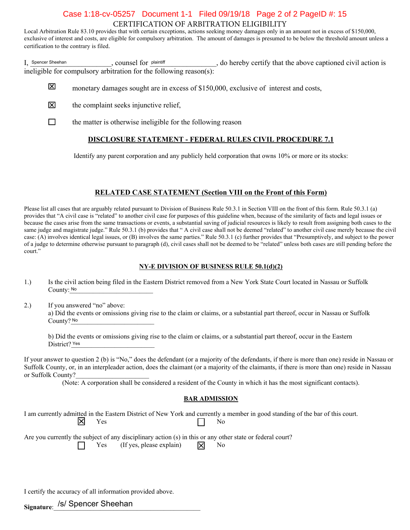# CERTIFICATION OF ARBITRATION ELIGIBILITY Case 1:18-cv-05257 Document 1-1 Filed 09/19/18 Page 2 of 2 PageID #: 15

Local Arbitration Rule 83.10 provides that with certain exceptions, actions seeking money damages only in an amount not in excess of \$150,000, exclusive of interest and costs, are eligible for compulsory arbitration. The amount of damages is presumed to be below the threshold amount unless a certification to the contrary is filed.

I, Spencer Sheehan counsel for plaintiff and the above captioned civil action is ineligible for compulsory arbitration for the following reason(s): Spencer Sheehan **player counting that Spencer** Sheehan

- 冈 monetary damages sought are in excess of \$150,000, exclusive of interest and costs,
- 冈 the complaint seeks injunctive relief.
- $\Box$ the matter is otherwise ineligible for the following reason

#### **DISCLOSURE STATEMENT - FEDERAL RULES CIVIL PROCEDURE 7.1**

Identify any parent corporation and any publicly held corporation that owns  $10\%$  or more or its stocks:

#### **RELATED CASE STATEMENT (Section VIII on the Front of this Form)**

Please list all cases that are arguably related pursuant to Division of Business Rule 50.3.1 in Section VIII on the front of this form. Rule 50.3.1 (a) provides that "A civil case is "related" to another civil case for purposes of this guideline when, because of the similarity of facts and legal issues or because the cases arise from the same transactions or events, a substantial saving of judicial resources is likely to result from assigning both cases to the same judge and magistrate judge." Rule 50.3.1 (b) provides that "A civil case shall not be deemed "related" to another civil case merely because the civil case: (A) involves identical legal issues, or (B) involves the same parties." Rule 50.3.1 (c) further provides that "Presumptively, and subject to the power of a judge to determine otherwise pursuant to paragraph (d), civil cases shall not be deemed to be "related" unless both cases are still pending before the court."

#### **NY-E DIVISION OF BUSINESS RULE 50.1(d)(2)**

- 1.) Is the civil action being filed in the Eastern District removed from a New York State Court located in Nassau or Suffolk County: No. 2008. The County: No. 2008. The County: No. 2008. The County: No. 2008. The County: No. 2008. The County: No. 2008. The County: No. 2008. The County: No. 2008. The County: No. 2008. The County: No. 2008. The Co
- 2.) If you answered "no" above: a) Did the events or omissions giving rise to the claim or claims, or a substantial part thereof, occur in Nassau or Suffolk County? No

b) Did the events or omissions giving rise to the claim or claims, or a substantial part thereof, occur in the Eastern District? Yes

If your answer to question 2 (b) is "No," does the defendant (or a majority of the defendants, if there is more than one) reside in Nassau or Suffolk County, or, in an interpleader action, does the claimant (or a majority of the claimants, if there is more than one) reside in Nassau or Suffolk County?

(Note: A corporation shall be considered a resident of the County in which it has the most significant contacts).

#### **BAR ADMISSION**

I am currently admitted in the Eastern District of New York and currently a member in good standing of the bar of this court. 区  $\Gamma$   $\Gamma$  188

Are you currently the subject of any disciplinary action  $(s)$  in this or any other state or federal court? Yes (If yes, please explain)  $\overrightarrow{X}$  No

I certify the accuracy of all information provided above.

<sub>Signature:</sub> /s/ Spencer Sheehan